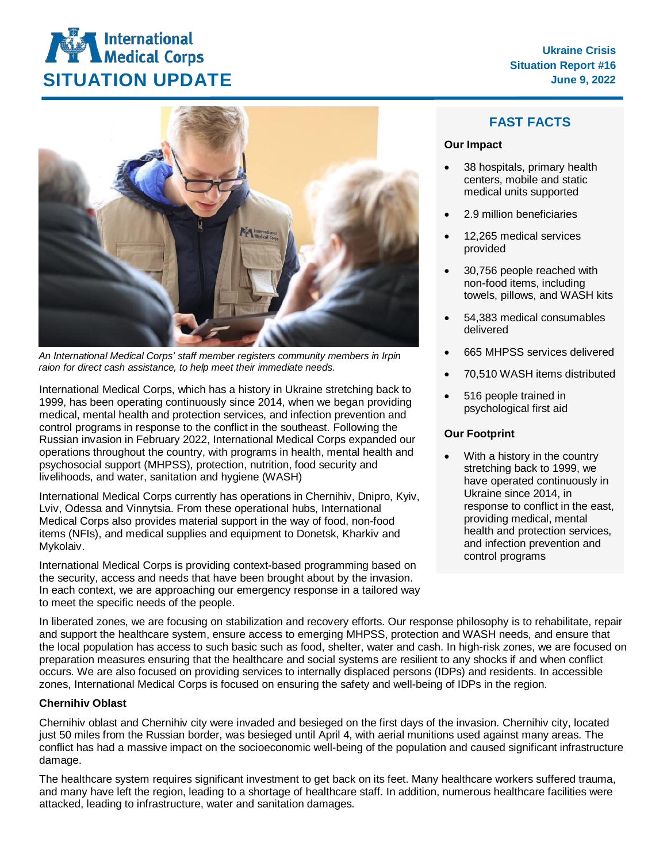

*An International Medical Corps' staff member registers community members in Irpin raion for direct cash assistance, to help meet their immediate needs.*

International Medical Corps, which has a history in Ukraine stretching back to 1999, has been operating continuously since 2014, when we began providing medical, mental health and protection services, and infection prevention and control programs in response to the conflict in the southeast. Following the Russian invasion in February 2022, International Medical Corps expanded our operations throughout the country, with programs in health, mental health and psychosocial support (MHPSS), protection, nutrition, food security and livelihoods, and water, sanitation and hygiene (WASH)

International Medical Corps currently has operations in Chernihiv, Dnipro, Kyiv, Lviv, Odessa and Vinnytsia. From these operational hubs, International Medical Corps also provides material support in the way of food, non-food items (NFIs), and medical supplies and equipment to Donetsk, Kharkiv and Mykolaiv.

International Medical Corps is providing context-based programming based on the security, access and needs that have been brought about by the invasion. In each context, we are approaching our emergency response in a tailored way to meet the specific needs of the people.

# **FAST FACTS**

#### **Our Impact**

- 38 hospitals, primary health centers, mobile and static medical units supported
- 2.9 million beneficiaries
- 12,265 medical services provided
- 30,756 people reached with non-food items, including towels, pillows, and WASH kits
- 54,383 medical consumables delivered
- 665 MHPSS services delivered
- 70,510 WASH items distributed
- 516 people trained in psychological first aid

# **Our Footprint**

With a history in the country stretching back to 1999, we have operated continuously in Ukraine since 2014, in response to conflict in the east, providing medical, mental health and protection services, and infection prevention and control programs

In liberated zones, we are focusing on stabilization and recovery efforts. Our response philosophy is to rehabilitate, repair and support the healthcare system, ensure access to emerging MHPSS, protection and WASH needs, and ensure that the local population has access to such basic such as food, shelter, water and cash. In high-risk zones, we are focused on preparation measures ensuring that the healthcare and social systems are resilient to any shocks if and when conflict occurs. We are also focused on providing services to internally displaced persons (IDPs) and residents. In accessible zones, International Medical Corps is focused on ensuring the safety and well-being of IDPs in the region.

# **Chernihiv Oblast**

Chernihiv oblast and Chernihiv city were invaded and besieged on the first days of the invasion. Chernihiv city, located just 50 miles from the Russian border, was besieged until April 4, with aerial munitions used against many areas. The conflict has had a massive impact on the socioeconomic well-being of the population and caused significant infrastructure damage.

The healthcare system requires significant investment to get back on its feet. Many healthcare workers suffered trauma, and many have left the region, leading to a shortage of healthcare staff. In addition, numerous healthcare facilities were attacked, leading to infrastructure, water and sanitation damages.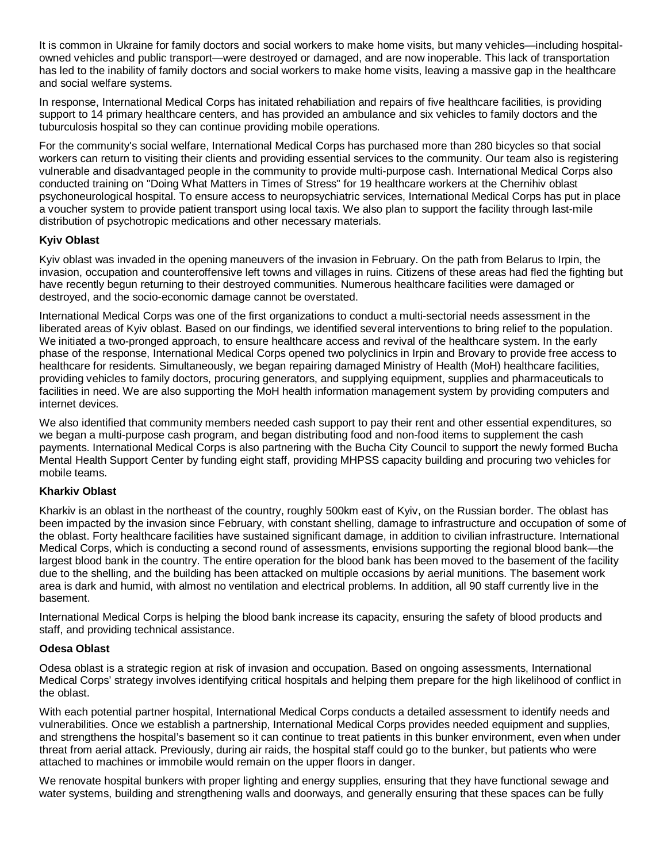It is common in Ukraine for family doctors and social workers to make home visits, but many vehicles—including hospitalowned vehicles and public transport—were destroyed or damaged, and are now inoperable. This lack of transportation has led to the inability of family doctors and social workers to make home visits, leaving a massive gap in the healthcare and social welfare systems.

In response, International Medical Corps has initated rehabiliation and repairs of five healthcare facilities, is providing support to 14 primary healthcare centers, and has provided an ambulance and six vehicles to family doctors and the tuburculosis hospital so they can continue providing mobile operations.

For the community's social welfare, International Medical Corps has purchased more than 280 bicycles so that social workers can return to visiting their clients and providing essential services to the community. Our team also is registering vulnerable and disadvantaged people in the community to provide multi-purpose cash. International Medical Corps also conducted training on "Doing What Matters in Times of Stress" for 19 healthcare workers at the Chernihiv oblast psychoneurological hospital. To ensure access to neuropsychiatric services, International Medical Corps has put in place a voucher system to provide patient transport using local taxis. We also plan to support the facility through last-mile distribution of psychotropic medications and other necessary materials.

#### **Kyiv Oblast**

Kyiv oblast was invaded in the opening maneuvers of the invasion in February. On the path from Belarus to Irpin, the invasion, occupation and counteroffensive left towns and villages in ruins. Citizens of these areas had fled the fighting but have recently begun returning to their destroyed communities. Numerous healthcare facilities were damaged or destroyed, and the socio-economic damage cannot be overstated.

International Medical Corps was one of the first organizations to conduct a multi-sectorial needs assessment in the liberated areas of Kyiv oblast. Based on our findings, we identified several interventions to bring relief to the population. We initiated a two-pronged approach, to ensure healthcare access and revival of the healthcare system. In the early phase of the response, International Medical Corps opened two polyclinics in Irpin and Brovary to provide free access to healthcare for residents. Simultaneously, we began repairing damaged Ministry of Health (MoH) healthcare facilities, providing vehicles to family doctors, procuring generators, and supplying equipment, supplies and pharmaceuticals to facilities in need. We are also supporting the MoH health information management system by providing computers and internet devices.

We also identified that community members needed cash support to pay their rent and other essential expenditures, so we began a multi-purpose cash program, and began distributing food and non-food items to supplement the cash payments. International Medical Corps is also partnering with the Bucha City Council to support the newly formed Bucha Mental Health Support Center by funding eight staff, providing MHPSS capacity building and procuring two vehicles for mobile teams.

#### **Kharkiv Oblast**

Kharkiv is an oblast in the northeast of the country, roughly 500km east of Kyiv, on the Russian border. The oblast has been impacted by the invasion since February, with constant shelling, damage to infrastructure and occupation of some of the oblast. Forty healthcare facilities have sustained significant damage, in addition to civilian infrastructure. International Medical Corps, which is conducting a second round of assessments, envisions supporting the regional blood bank—the largest blood bank in the country. The entire operation for the blood bank has been moved to the basement of the facility due to the shelling, and the building has been attacked on multiple occasions by aerial munitions. The basement work area is dark and humid, with almost no ventilation and electrical problems. In addition, all 90 staff currently live in the basement.

International Medical Corps is helping the blood bank increase its capacity, ensuring the safety of blood products and staff, and providing technical assistance.

#### **Odesa Oblast**

Odesa oblast is a strategic region at risk of invasion and occupation. Based on ongoing assessments, International Medical Corps' strategy involves identifying critical hospitals and helping them prepare for the high likelihood of conflict in the oblast.

With each potential partner hospital, International Medical Corps conducts a detailed assessment to identify needs and vulnerabilities. Once we establish a partnership, International Medical Corps provides needed equipment and supplies, and strengthens the hospital's basement so it can continue to treat patients in this bunker environment, even when under threat from aerial attack. Previously, during air raids, the hospital staff could go to the bunker, but patients who were attached to machines or immobile would remain on the upper floors in danger.

We renovate hospital bunkers with proper lighting and energy supplies, ensuring that they have functional sewage and water systems, building and strengthening walls and doorways, and generally ensuring that these spaces can be fully